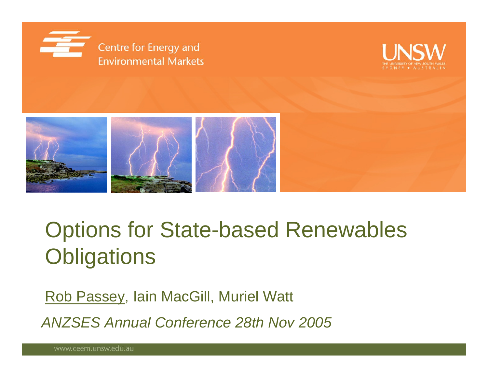





# Options for State-based Renewables **Obligations**

Rob Passey, Iain MacGill, Muriel Watt

*ANZSES Annual Conference 28th Nov 2005*

www.ceem.unsw.edu.au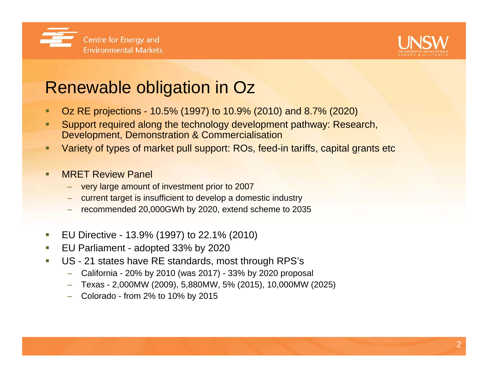



## Renewable obligation in Oz

- п Oz RE projections - 10.5% (1997) to 10.9% (2010) and 8.7% (2020)
- п Support required along the technology development pathway: Research, Development, Demonstration & Commercialisation
- п Variety of types of market pull support: ROs, feed-in tariffs, capital grants etc
- MRET Review Panel
	- very large amount of investment prior to 2007
	- –current target is insufficient to develop a domestic industry
	- recommended 20,000GWh by 2020, extend scheme to 2035
- $\mathcal{L}_{\mathcal{A}}$ EU Directive - 13.9% (1997) to 22.1% (2010)
- $\mathcal{L}_{\mathcal{A}}$ EU Parliament - adopted 33% by 2020
- $\mathcal{L}_{\mathcal{A}}$  US - 21 states have RE standards, most through RPS's
	- –California - 20% by 2010 (was 2017) - 33% by 2020 proposal
	- Texas 2,000MW (2009), 5,880MW, 5% (2015), 10,000MW (2025)
	- Colorado from 2% to 10% by 2015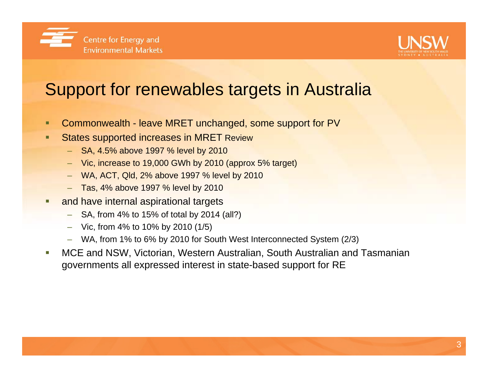



## Support for renewables targets in Australia

- Commonwealth leave MRET unchanged, some support for PV
- п States supported increases in MRET Review
	- SA, 4.5% above 1997 % level by 2010
	- Vic, increase to 19,000 GWh by 2010 (approx 5% target)
	- –WA, ACT, Qld, 2% above 1997 % level by 2010
	- Tas, 4% above 1997 % level by 2010
- and have internal aspirational targets
	- SA, from 4% to 15% of total by 2014 (all?)
	- Vic, from 4% to 10% by 2010 (1/5)
	- –WA, from 1% to 6% by 2010 for South West Interconnected System (2/3)
- MCE and NSW, Victorian, Western Australian, South Australian and Tasmanian governments all expressed interest in state-based support for RE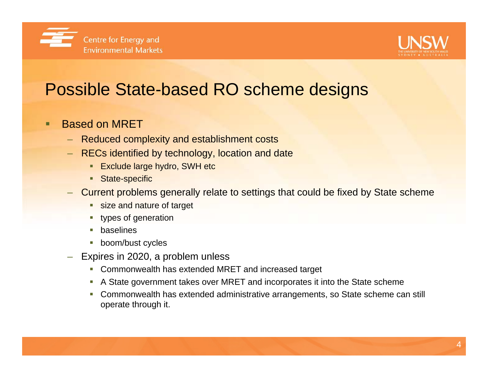



## Possible State-based RO scheme designs

#### п Based on MRET

- –Reduced complexity and establishment costs
- RECs identified by technology, location and date
	- **Exclude large hydro, SWH etc**
	- **State-specific**
- Current problems generally relate to settings that could be fixed by State scheme
	- **Size and nature of target**
	- types of generation
	- baselines
	- L boom/bust cycles
- Expires in 2020, a problem unless
	- Commonwealth has extended MRET and increased target
	- $\mathcal{L}_{\mathcal{A}}$ A State government takes over MRET and incorporates it into the State scheme
	- Commonwealth has extended administrative arrangements, so State scheme can still operate through it.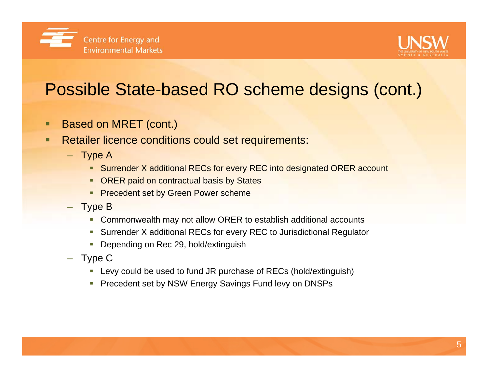



## Possible State-based RO scheme designs (cont.)

- о Based on MRET (cont.)
- ο Retailer licence conditions could set requirements:
	- Type A
		- Surrender X additional RECs for every REC into designated ORER account
		- **ORER paid on contractual basis by States**
		- **Precedent set by Green Power scheme**
	- Type B
		- $\overline{\phantom{a}}$ Commonwealth may not allow ORER to establish additional accounts
		- Surrender X additional RECs for every REC to Jurisdictional Regulator
		- $\mathcal{L}_{\mathcal{A}}$ Depending on Rec 29, hold/extinguish
	- Type C
		- Levy could be used to fund JR purchase of RECs (hold/extinguish)
		- Precedent set by NSW Energy Savings Fund levy on DNSPs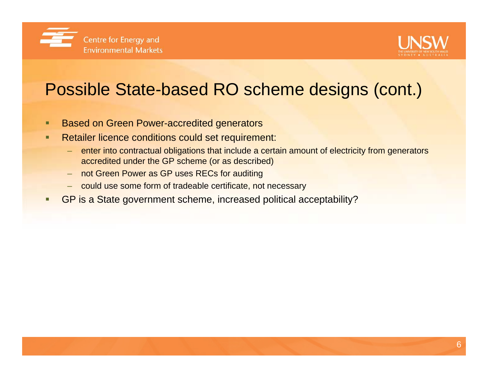



## Possible State-based RO scheme designs (cont.)

- Based on Green Power-accredited generators
- п Retailer licence conditions could set requirement:
	- – enter into contractual obligations that include a certain amount of electricity from generators accredited under the GP scheme (or as described)
	- –not Green Power as GP uses RECs for auditing
	- could use some form of tradeable certificate, not necessary
- L GP is a State government scheme, increased political acceptability?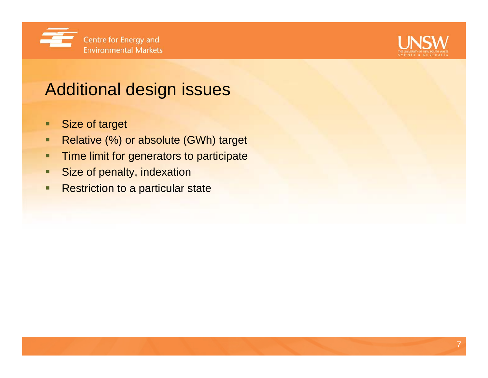



## Additional design issues

- п Size of target
- □ Relative (%) or absolute (GWh) target
- п Time limit for generators to participate
- п Size of penalty, indexation
- о Restriction to a particular state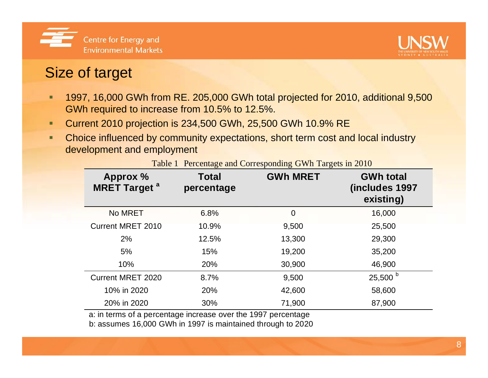



#### Size of target

- п 1997, 16,000 GWh from RE. 205,000 GWh total projected for 2010, additional 9,500 GWh required to increase from 10.5% to 12.5%.
- п Current 2010 projection is 234,500 GWh, 25,500 GWh 10.9% RE
- ٠ Choice influenced by community expectations, short term cost and local industry development and employment

| <b>Approx %</b><br><b>MRET Target<sup>a</sup></b>             | <b>Total</b><br>percentage | <b>GWh MRET</b> | <b>GWh total</b><br>(includes 1997<br>existing) |
|---------------------------------------------------------------|----------------------------|-----------------|-------------------------------------------------|
| <b>No MRET</b>                                                | 6.8%                       | 0               | 16,000                                          |
| <b>Current MRET 2010</b>                                      | 10.9%                      | 9,500           | 25,500                                          |
| 2%                                                            | 12.5%                      | 13,300          | 29,300                                          |
| 5%                                                            | 15%                        | 19,200          | 35,200                                          |
| 10%                                                           | 20%                        | 30,900          | 46,900                                          |
| <b>Current MRET 2020</b>                                      | 8.7%                       | 9,500           | $25,500^{\circ}$                                |
| 10% in 2020                                                   | 20%                        | 42,600          | 58,600                                          |
| 20% in 2020                                                   | 30%                        | 71,900          | 87,900                                          |
| a: in terms of a percentage increase over the 1997 percentage |                            |                 |                                                 |

Table 1 Percentage and Corresponding GWh Targets in 2010

a: in terms of a percentage increase over the 1997 percentage

b: assumes 16,000 GWh in 1997 is maintained through to 2020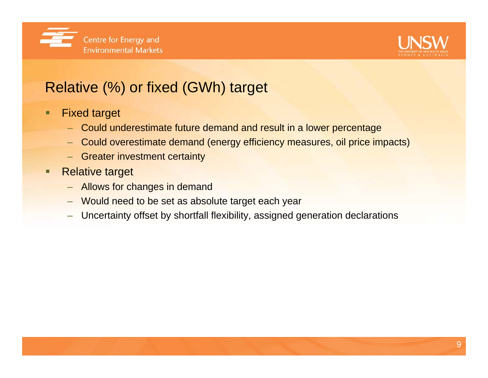



### Relative (%) or fixed (GWh) target

- п Fixed target
	- –Could underestimate future demand and result in a lower percentage
	- –Could overestimate demand (energy efficiency measures, oil price impacts)
	- –Greater investment certainty
- Г Relative target
	- –Allows for changes in demand
	- –Would need to be set as absolute target each year
	- –Uncertainty offset by shortfall flexibility, assigned generation declarations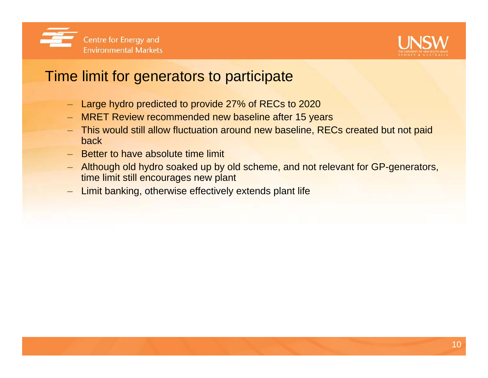



#### Time limit for generators to participate

- –Large hydro predicted to provide 27% of RECs to 2020
- MRET Review recommended new baseline after 15 years
- – This would still allow fluctuation around new baseline, RECs created but not paid back
- Better to have absolute time limit
- – Although old hydro soaked up by old scheme, and not relevant for GP-generators, time limit still encourages new plant
- –Limit banking, otherwise effectively extends plant life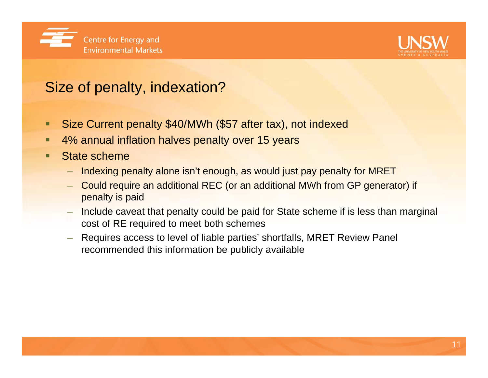



### Size of penalty, indexation?

- П Size Current penalty \$40/MWh (\$57 after tax), not indexed
- □ 4% annual inflation halves penalty over 15 years
- Г State scheme
	- –Indexing penalty alone isn't enough, as would just pay penalty for MRET
	- – Could require an additional REC (or an additional MWh from GP generator) if penalty is paid
	- Include caveat that penalty could be paid for State scheme if is less than marginal cost of RE required to meet both schemes
	- – Requires access to level of liable parties' shortfalls, MRET Review Panel recommended this information be publicly available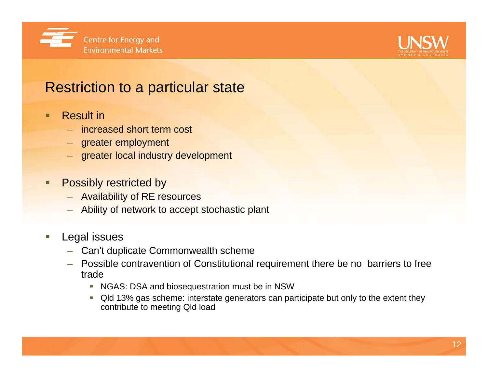



#### Restriction to a particular state

#### П Result in

- increased short term cost
- –greater employment
- greater local industry development
- Г Possibly restricted by
	- Availability of RE resources
	- –Ability of network to accept stochastic plant
- г Legal issues
	- –Can't duplicate Commonwealth scheme
	- Possible contravention of Constitutional requirement there be no barriers to free trade
		- NGAS: DSA and biosequestration must be in NSW
		- Qld 13% gas scheme: interstate generators can participate but only to the extent they contribute to meeting Qld load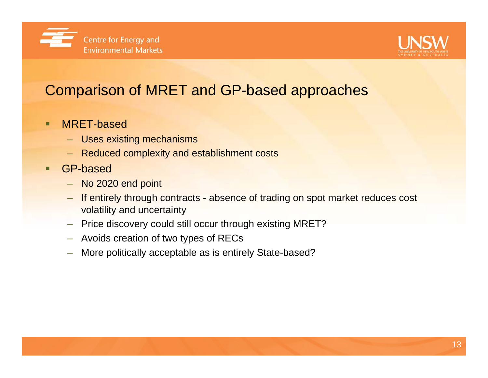



### Comparison of MRET and GP-based approaches

- п MRET-based
	- –Uses existing mechanisms
	- Reduced complexity and establishment costs
- □ GP-based
	- No 2020 end point
	- – If entirely through contracts - absence of trading on spot market reduces cost volatility and uncertainty
	- –Price discovery could still occur through existing MRET?
	- –Avoids creation of two types of RECs
	- –More politically acceptable as is entirely State-based?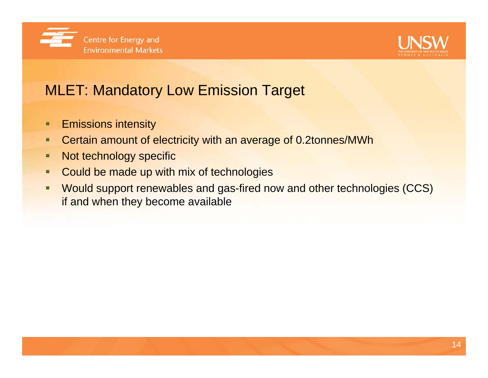



### MLET: Mandatory Low Emission Target

- о Emissions intensity
- о Certain amount of electricity with an average of 0.2tonnes/MWh
- п Not technology specific
- п Could be made up with mix of technologies
- О Would support renewables and gas-fired now and other technologies (CCS) if and when they become available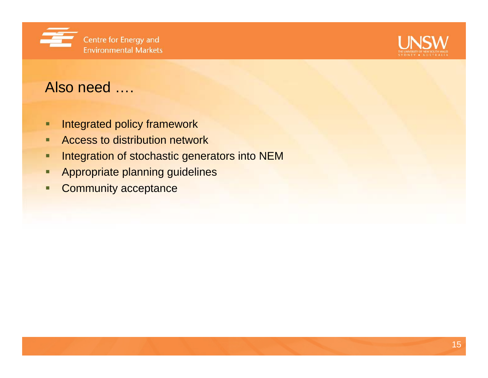



#### Also need ….

- п Integrated policy framework
- п Access to distribution network
- ٠ Integration of stochastic generators into NEM
- п Appropriate planning guidelines
- п Community acceptance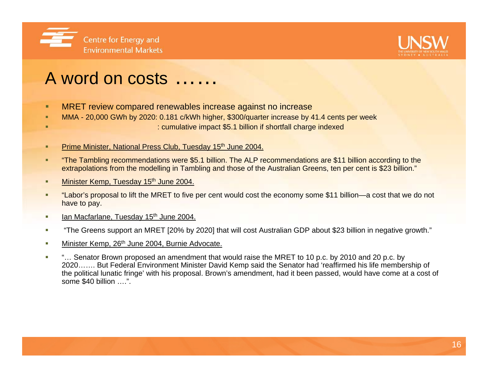



## A word on costs ……

- ٠ MRET review compared renewables increase against no increase
- ٠ MMA - 20,000 GWh by 2020: 0.181 c/kWh higher, \$300/quarter increase by 41.4 cents per week
	- : cumulative impact \$5.1 billion if shortfall charge indexed
- ٠ Prime Minister, National Press Club, Tuesday 15<sup>th</sup> June 2004.
- ٠ "The Tambling recommendations were \$5.1 billion. The ALP recommendations are \$11 billion according to the extrapolations from the modelling in Tambling and those of the Australian Greens, ten per cent is \$23 billion."
- ٠ Minister Kemp, Tuesday 15<sup>th</sup> June 2004.
- ٠ "Labor's proposal to lift the MRET to five per cent would cost the economy some \$11 billion—a cost that we do not have to pay.
- $\mathcal{L}_{\mathcal{A}}$ Ian Macfarlane, Tuesday 15<sup>th</sup> June 2004.
- $\mathcal{L}_{\mathcal{A}}$ "The Greens support an MRET [20% by 2020] that will cost Australian GDP about \$23 billion in negative growth."
- ٠ Minister Kemp, 26<sup>th</sup> June 2004, Burnie Advocate.
- m. "… Senator Brown proposed an amendment that would raise the MRET to 10 p.c. by 2010 and 20 p.c. by 2020……. But Federal Environment Minister David Kemp said the Senator had 'reaffirmed his life membership of the political lunatic fringe' with his proposal. Brown's amendment, had it been passed, would have come at a cost of some \$40 billion ….".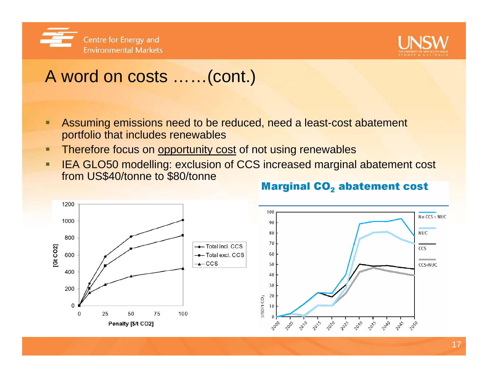



## A word on costs ……(cont.)

- п Assuming emissions need to be reduced, need a least-cost abatement portfolio that includes renewables
- п Therefore focus on opportunity cost of not using renewables
- п IEA GLO50 modelling: exclusion of CCS increased marginal abatement cost from US\$40/tonne to \$80/tonne



#### **Marginal CO<sub>2</sub>** abatement cost